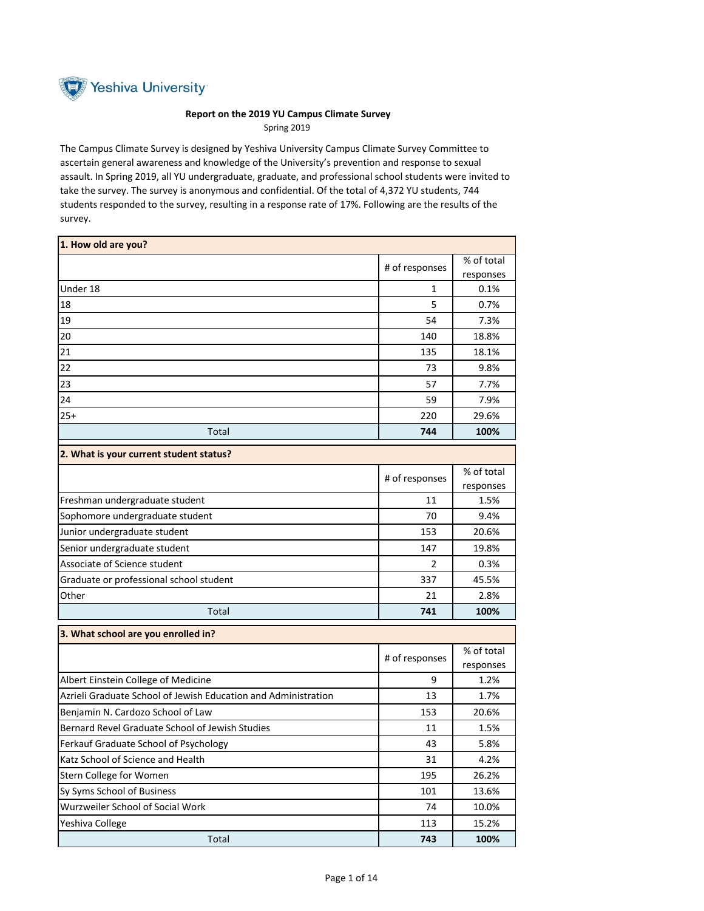

## **Report on the 2019 YU Campus Climate Survey**  Spring 2019

The Campus Climate Survey is designed by Yeshiva University Campus Climate Survey Committee to ascertain general awareness and knowledge of the University's prevention and response to sexual assault. In Spring 2019, all YU undergraduate, graduate, and professional school students were invited to take the survey. The survey is anonymous and confidential. Of the total of 4,372 YU students, 744 students responded to the survey, resulting in a response rate of 17%. Following are the results of the survey.

| 1. How old are you?                                            |                |                         |
|----------------------------------------------------------------|----------------|-------------------------|
|                                                                | # of responses | % of total              |
|                                                                |                | responses               |
| Under 18                                                       | 1              | 0.1%                    |
| 18                                                             | 5              | 0.7%                    |
| 19                                                             | 54             | 7.3%                    |
| 20                                                             | 140            | 18.8%                   |
| 21                                                             | 135            | 18.1%                   |
| 22                                                             | 73             | 9.8%                    |
| 23                                                             | 57             | 7.7%                    |
| 24                                                             | 59             | 7.9%                    |
| $25+$                                                          | 220            | 29.6%                   |
| Total                                                          | 744            | 100%                    |
| 2. What is your current student status?                        |                |                         |
|                                                                | # of responses | % of total              |
|                                                                |                | responses               |
| Freshman undergraduate student                                 | 11             | 1.5%                    |
| Sophomore undergraduate student                                | 70             | 9.4%                    |
| Junior undergraduate student                                   | 153            | 20.6%                   |
| Senior undergraduate student                                   | 147            | 19.8%                   |
| Associate of Science student                                   | $\overline{2}$ | 0.3%                    |
| Graduate or professional school student                        | 337            | 45.5%                   |
| Other                                                          | 21             | 2.8%                    |
| Total                                                          | 741            | 100%                    |
| 3. What school are you enrolled in?                            |                |                         |
|                                                                | # of responses | % of total<br>responses |
| Albert Einstein College of Medicine                            | 9              | 1.2%                    |
| Azrieli Graduate School of Jewish Education and Administration | 13             | 1.7%                    |
| Benjamin N. Cardozo School of Law                              | 153            | 20.6%                   |
| Bernard Revel Graduate School of Jewish Studies                | 11             | 1.5%                    |
| Ferkauf Graduate School of Psychology                          | 43             | 5.8%                    |
| Katz School of Science and Health                              | 31             | 4.2%                    |
| Stern College for Women                                        | 195            | 26.2%                   |
| Sy Syms School of Business                                     | 101            | 13.6%                   |
| Wurzweiler School of Social Work                               | 74             | 10.0%                   |
| Yeshiva College                                                | 113            | 15.2%                   |
| Total                                                          | 743            | 100%                    |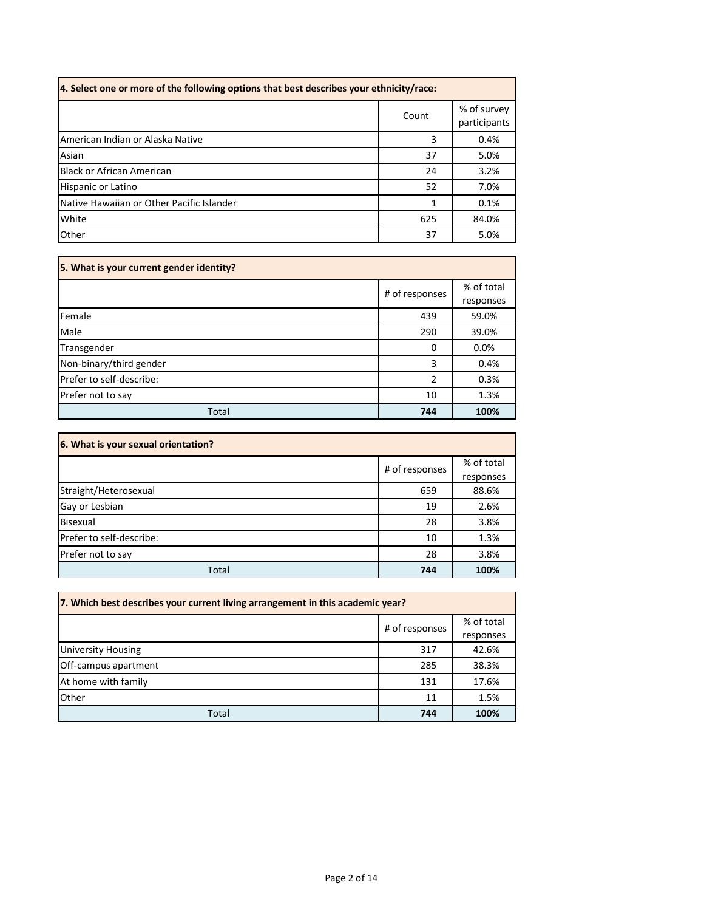| 4. Select one or more of the following options that best describes your ethnicity/race: |       |                             |  |  |
|-----------------------------------------------------------------------------------------|-------|-----------------------------|--|--|
|                                                                                         | Count | % of survey<br>participants |  |  |
| American Indian or Alaska Native                                                        | 3     | 0.4%                        |  |  |
| Asian                                                                                   | 37    | 5.0%                        |  |  |
| <b>Black or African American</b>                                                        | 24    | 3.2%                        |  |  |
| Hispanic or Latino                                                                      | 52    | 7.0%                        |  |  |
| Native Hawaiian or Other Pacific Islander                                               | 1     | 0.1%                        |  |  |
| White                                                                                   | 625   | 84.0%                       |  |  |
| Other                                                                                   | 37    | 5.0%                        |  |  |

| 5. What is your current gender identity? |                |            |  |  |
|------------------------------------------|----------------|------------|--|--|
|                                          | # of responses | % of total |  |  |
|                                          |                | responses  |  |  |
| Female                                   | 439            | 59.0%      |  |  |
| Male                                     | 290            | 39.0%      |  |  |
| Transgender                              | 0              | 0.0%       |  |  |
| Non-binary/third gender                  | 3              | 0.4%       |  |  |
| Prefer to self-describe:                 | $\overline{2}$ | 0.3%       |  |  |
| Prefer not to say                        | 10             | 1.3%       |  |  |
| Total                                    | 744            | 100%       |  |  |

| 6. What is your sexual orientation? |                |            |
|-------------------------------------|----------------|------------|
|                                     | # of responses | % of total |
|                                     |                | responses  |
| Straight/Heterosexual               | 659            | 88.6%      |
| Gay or Lesbian                      | 19             | 2.6%       |
| Bisexual                            | 28             | 3.8%       |
| Prefer to self-describe:            | 10             | 1.3%       |
| Prefer not to say                   | 28             | 3.8%       |
| Total                               | 744            | 100%       |

| 7. Which best describes your current living arrangement in this academic year? |                |            |  |  |
|--------------------------------------------------------------------------------|----------------|------------|--|--|
|                                                                                | # of responses | % of total |  |  |
|                                                                                |                | responses  |  |  |
| <b>University Housing</b>                                                      | 317            | 42.6%      |  |  |
| Off-campus apartment                                                           | 285            | 38.3%      |  |  |
| At home with family                                                            | 131            | 17.6%      |  |  |
| Other                                                                          | 11             | 1.5%       |  |  |
| Total                                                                          | 744            | 100%       |  |  |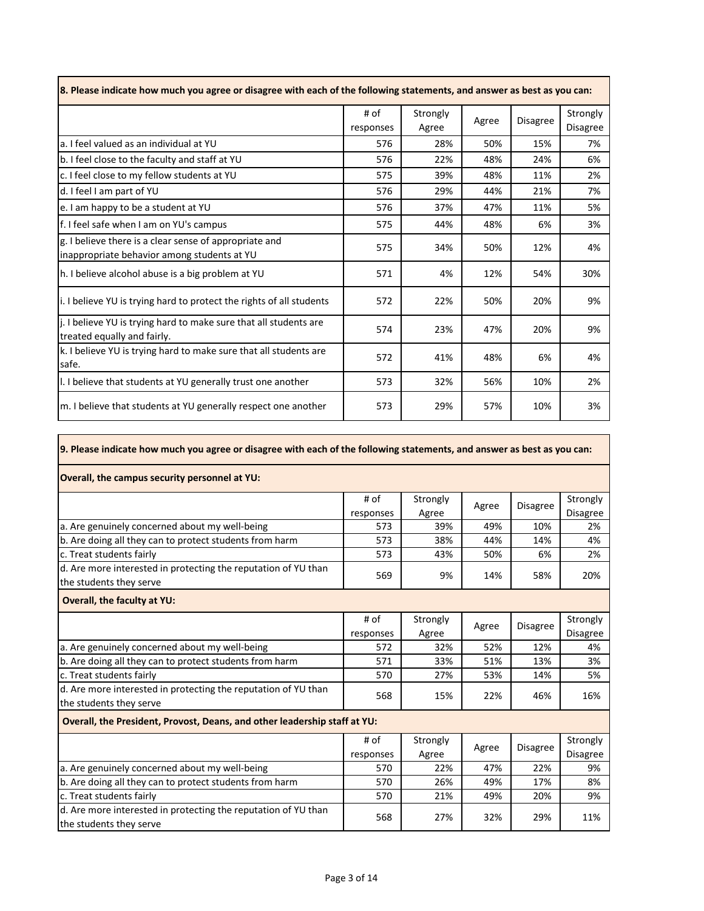| 8. Please indicate how much you agree or disagree with each of the following statements, and answer as best as you can: |                   |                   |       |                 |                             |
|-------------------------------------------------------------------------------------------------------------------------|-------------------|-------------------|-------|-----------------|-----------------------------|
|                                                                                                                         | # of<br>responses | Strongly<br>Agree | Agree | <b>Disagree</b> | Strongly<br><b>Disagree</b> |
| a. I feel valued as an individual at YU                                                                                 | 576               | 28%               | 50%   | 15%             | 7%                          |
| b. I feel close to the faculty and staff at YU                                                                          | 576               | 22%               | 48%   | 24%             | 6%                          |
| c. I feel close to my fellow students at YU                                                                             | 575               | 39%               | 48%   | 11%             | 2%                          |
| d. I feel I am part of YU                                                                                               | 576               | 29%               | 44%   | 21%             | 7%                          |
| e. I am happy to be a student at YU                                                                                     | 576               | 37%               | 47%   | 11%             | 5%                          |
| f. I feel safe when I am on YU's campus                                                                                 | 575               | 44%               | 48%   | 6%              | 3%                          |
| g. I believe there is a clear sense of appropriate and<br>inappropriate behavior among students at YU                   | 575               | 34%               | 50%   | 12%             | 4%                          |
| h. I believe alcohol abuse is a big problem at YU                                                                       | 571               | 4%                | 12%   | 54%             | 30%                         |
| i. I believe YU is trying hard to protect the rights of all students                                                    | 572               | 22%               | 50%   | 20%             | 9%                          |
| j. I believe YU is trying hard to make sure that all students are<br>treated equally and fairly.                        | 574               | 23%               | 47%   | 20%             | 9%                          |
| k. I believe YU is trying hard to make sure that all students are<br>safe.                                              | 572               | 41%               | 48%   | 6%              | 4%                          |
| I. I believe that students at YU generally trust one another                                                            | 573               | 32%               | 56%   | 10%             | 2%                          |
| m. I believe that students at YU generally respect one another                                                          | 573               | 29%               | 57%   | 10%             | 3%                          |

|                                                                                           | # of             | Strongly     | Agree | <b>Disagree</b> | Strongly        |
|-------------------------------------------------------------------------------------------|------------------|--------------|-------|-----------------|-----------------|
| a. Are genuinely concerned about my well-being                                            | responses<br>573 | Agree<br>39% | 49%   | 10%             | Disagree<br>2%  |
|                                                                                           |                  |              |       |                 |                 |
| b. Are doing all they can to protect students from harm                                   | 573              | 38%          | 44%   | 14%             | 4%              |
| c. Treat students fairly                                                                  | 573              | 43%          | 50%   | 6%              | 2%              |
| d. Are more interested in protecting the reputation of YU than<br>the students they serve | 569              | 9%           | 14%   | 58%             | 20%             |
| <b>Overall, the faculty at YU:</b>                                                        |                  |              |       |                 |                 |
|                                                                                           | # of             | Strongly     |       |                 | Strongly        |
|                                                                                           | responses        | Agree        | Agree | <b>Disagree</b> | <b>Disagree</b> |
| a. Are genuinely concerned about my well-being                                            | 572              | 32%          | 52%   | 12%             | 4%              |
| b. Are doing all they can to protect students from harm                                   | 571              | 33%          | 51%   | 13%             | 3%              |
| c. Treat students fairly                                                                  | 570              | 27%          | 53%   | 14%             | 5%              |
| d. Are more interested in protecting the reputation of YU than                            | 568              | 15%          | 22%   | 46%             | 16%             |

**9. Please indicate how much you agree or disagree with each of the following statements, and answer as best as you can:**

|                                                                | # of      | Strongly | Agree | <b>Disagree</b> | Strongly        |
|----------------------------------------------------------------|-----------|----------|-------|-----------------|-----------------|
|                                                                | responses | Agree    |       |                 | <b>Disagree</b> |
| a. Are genuinely concerned about my well-being                 | 570       | 22%      | 47%   | 22%             | 9%              |
| b. Are doing all they can to protect students from harm        | 570       | 26%      | 49%   | 17%             | 8%              |
| c. Treat students fairly                                       | 570       | 21%      | 49%   | 20%             | 9%              |
| d. Are more interested in protecting the reputation of YU than | 568       | 27%      | 32%   | 29%             | 11%             |
| the students they serve                                        |           |          |       |                 |                 |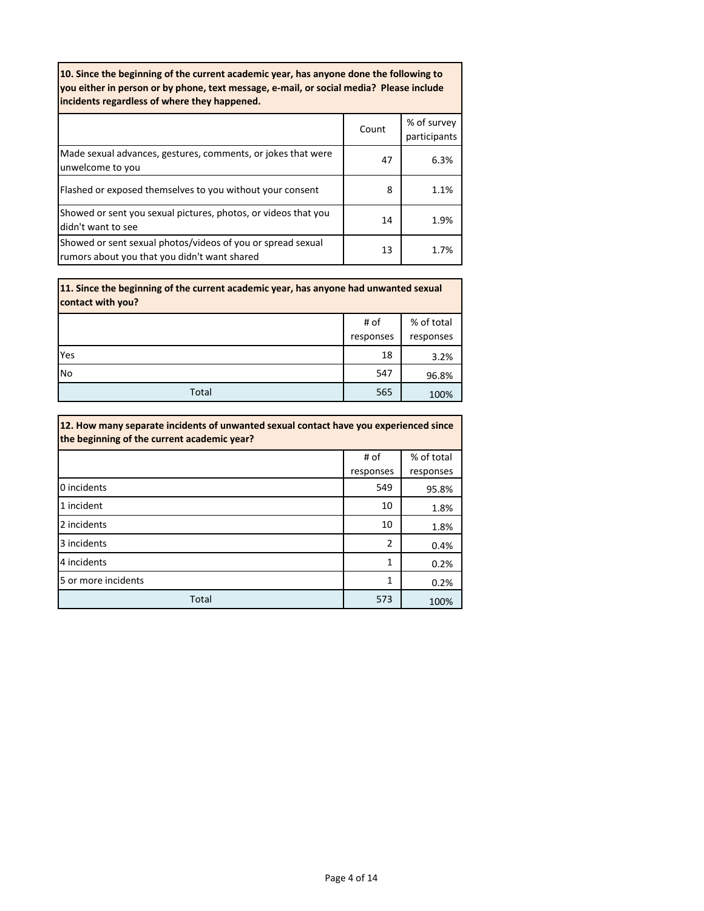| 10. Since the beginning of the current academic year, has anyone done the following to<br>you either in person or by phone, text message, e-mail, or social media? Please include<br>incidents regardless of where they happened. |       |                             |  |  |
|-----------------------------------------------------------------------------------------------------------------------------------------------------------------------------------------------------------------------------------|-------|-----------------------------|--|--|
|                                                                                                                                                                                                                                   | Count | % of survey<br>participants |  |  |
| Made sexual advances, gestures, comments, or jokes that were<br>unwelcome to you                                                                                                                                                  | 47    | 6.3%                        |  |  |
| Flashed or exposed themselves to you without your consent                                                                                                                                                                         | 8     | 1.1%                        |  |  |
| Showed or sent you sexual pictures, photos, or videos that you<br>didn't want to see                                                                                                                                              | 14    | 1.9%                        |  |  |
| Showed or sent sexual photos/videos of you or spread sexual<br>rumors about you that you didn't want shared                                                                                                                       | 13    | 1.7%                        |  |  |

| 11. Since the beginning of the current academic year, has anyone had unwanted sexual<br>contact with you? |           |            |  |
|-----------------------------------------------------------------------------------------------------------|-----------|------------|--|
|                                                                                                           | # of      | % of total |  |
|                                                                                                           | responses | responses  |  |
| Yes                                                                                                       | 18        | 3.2%       |  |
| No                                                                                                        | 547       | 96.8%      |  |
| Total                                                                                                     | 565       | 100%       |  |

| 12. How many separate incidents of unwanted sexual contact have you experienced since<br>the beginning of the current academic year? |           |            |  |
|--------------------------------------------------------------------------------------------------------------------------------------|-----------|------------|--|
|                                                                                                                                      | # of      | % of total |  |
|                                                                                                                                      | responses | responses  |  |
| 0 incidents                                                                                                                          | 549       | 95.8%      |  |
| 1 incident                                                                                                                           | 10        | 1.8%       |  |
| 2 incidents                                                                                                                          | 10        | 1.8%       |  |
| 3 incidents                                                                                                                          | 2         | 0.4%       |  |
| 4 incidents                                                                                                                          | 1         | 0.2%       |  |
| 5 or more incidents                                                                                                                  | 1         | 0.2%       |  |
| Total                                                                                                                                | 573       | 100%       |  |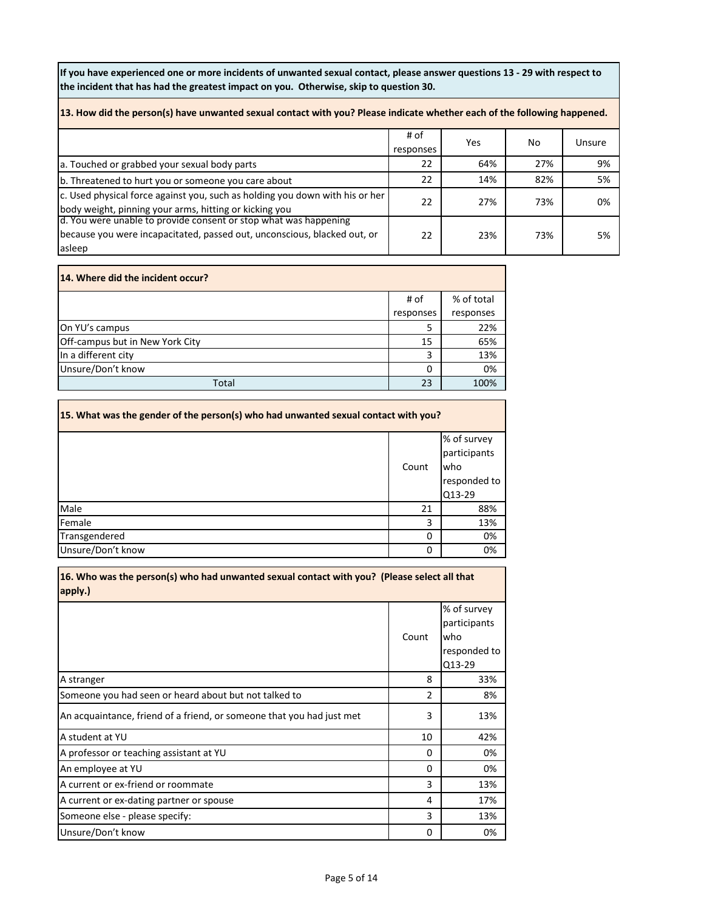**If you have experienced one or more incidents of unwanted sexual contact, please answer questions 13 - 29 with respect to the incident that has had the greatest impact on you. Otherwise, skip to question 30.**

| 13. How did the person(s) have unwanted sexual contact with you? Please indicate whether each of the following happened.                               |                   |     |     |        |  |
|--------------------------------------------------------------------------------------------------------------------------------------------------------|-------------------|-----|-----|--------|--|
|                                                                                                                                                        | # of<br>responses | Yes | No. | Unsure |  |
| a. Touched or grabbed your sexual body parts                                                                                                           | 22                | 64% | 27% | 9%     |  |
| b. Threatened to hurt you or someone you care about                                                                                                    | 22                | 14% | 82% | 5%     |  |
| c. Used physical force against you, such as holding you down with his or her<br>body weight, pinning your arms, hitting or kicking you                 | 22                | 27% | 73% | 0%     |  |
| d. You were unable to provide consent or stop what was happening<br>because you were incapacitated, passed out, unconscious, blacked out, or<br>asleep | 22                | 23% | 73% | 5%     |  |

| 14. Where did the incident occur? |           |            |  |  |
|-----------------------------------|-----------|------------|--|--|
|                                   | # of      | % of total |  |  |
|                                   | responses | responses  |  |  |
| On YU's campus                    | 5         | 22%        |  |  |
| Off-campus but in New York City   | 15        | 65%        |  |  |
| In a different city               | 3         | 13%        |  |  |
| Unsure/Don't know                 | 0         | 0%         |  |  |
| Total                             | 23        | 100%       |  |  |

| 15. What was the gender of the person(s) who had unwanted sexual contact with you? |       |                                                              |  |
|------------------------------------------------------------------------------------|-------|--------------------------------------------------------------|--|
|                                                                                    | Count | % of survey<br>participants<br>who<br>responded to<br>Q13-29 |  |
| Male                                                                               | 21    | 88%                                                          |  |
| Female                                                                             | 3     | 13%                                                          |  |
| Transgendered                                                                      | 0     | 0%                                                           |  |
| Unsure/Don't know                                                                  | 0     | 0%                                                           |  |

| 16. Who was the person(s) who had unwanted sexual contact with you? (Please select all that<br>apply.) |                |                                                              |  |
|--------------------------------------------------------------------------------------------------------|----------------|--------------------------------------------------------------|--|
|                                                                                                        | Count          | % of survey<br>participants<br>who<br>responded to<br>Q13-29 |  |
| A stranger                                                                                             | 8              | 33%                                                          |  |
| Someone you had seen or heard about but not talked to                                                  | $\overline{2}$ | 8%                                                           |  |
| An acquaintance, friend of a friend, or someone that you had just met                                  | 3              | 13%                                                          |  |
| A student at YU                                                                                        | 10             | 42%                                                          |  |
| A professor or teaching assistant at YU                                                                | 0              | 0%                                                           |  |
| An employee at YU                                                                                      | 0              | 0%                                                           |  |
| A current or ex-friend or roommate                                                                     | 3              | 13%                                                          |  |
| A current or ex-dating partner or spouse                                                               | 4              | 17%                                                          |  |
| Someone else - please specify:                                                                         | 3              | 13%                                                          |  |
| Unsure/Don't know                                                                                      | 0              | 0%                                                           |  |

Page 5 of 14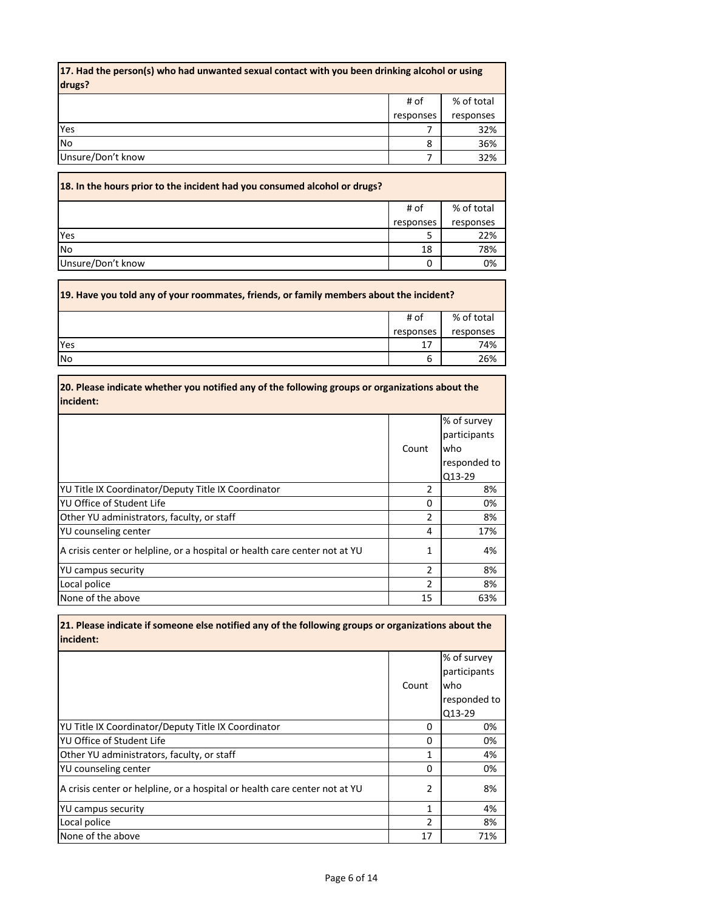| 17. Had the person(s) who had unwanted sexual contact with you been drinking alcohol or using<br>drugs? |           |            |  |
|---------------------------------------------------------------------------------------------------------|-----------|------------|--|
|                                                                                                         | # of      | % of total |  |
|                                                                                                         | responses | responses  |  |
| Yes                                                                                                     |           | 32%        |  |
| <b>No</b>                                                                                               | 8         | 36%        |  |
| Unsure/Don't know                                                                                       |           | 32%        |  |

| 18. In the hours prior to the incident had you consumed alcohol or drugs? |           |            |
|---------------------------------------------------------------------------|-----------|------------|
|                                                                           | # of      | % of total |
|                                                                           | responses | responses  |
| Yes                                                                       |           | 22%        |
| No                                                                        | 18        | 78%        |
| Unsure/Don't know                                                         |           | 0%         |

 $\Gamma$ 

| [19. Have you told any of your roommates, friends, or family members about the incident? |           |            |  |
|------------------------------------------------------------------------------------------|-----------|------------|--|
|                                                                                          | # of      | % of total |  |
|                                                                                          | responses | responses  |  |
| Yes                                                                                      | 17        | 74%        |  |
| <b>No</b>                                                                                | b         | 26%        |  |

| 20. Please indicate whether you notified any of the following groups or organizations about the<br>incident: |                |                                                              |
|--------------------------------------------------------------------------------------------------------------|----------------|--------------------------------------------------------------|
|                                                                                                              | Count          | % of survey<br>participants<br>who<br>responded to<br>Q13-29 |
| YU Title IX Coordinator/Deputy Title IX Coordinator                                                          | 2              | 8%                                                           |
| YU Office of Student Life                                                                                    | 0              | 0%                                                           |
| Other YU administrators, faculty, or staff                                                                   | $\overline{2}$ | 8%                                                           |
| YU counseling center                                                                                         | 4              | 17%                                                          |
| A crisis center or helpline, or a hospital or health care center not at YU                                   | 1              | 4%                                                           |
| <b>YU campus security</b>                                                                                    | $\overline{2}$ | 8%                                                           |
| Local police                                                                                                 | 2              | 8%                                                           |
| None of the above                                                                                            | 15             | 63%                                                          |

**21. Please indicate if someone else notified any of the following groups or organizations about the incident:** 

|                                                                            | Count          | % of survey<br>participants<br>who<br>responded to<br>Q13-29 |
|----------------------------------------------------------------------------|----------------|--------------------------------------------------------------|
| YU Title IX Coordinator/Deputy Title IX Coordinator                        | 0              | 0%                                                           |
| YU Office of Student Life                                                  | 0              | 0%                                                           |
| Other YU administrators, faculty, or staff                                 | 1              | 4%                                                           |
| YU counseling center                                                       | 0              | 0%                                                           |
| A crisis center or helpline, or a hospital or health care center not at YU | 2              | 8%                                                           |
| <b>YU campus security</b>                                                  | 1              | 4%                                                           |
| Local police                                                               | $\overline{2}$ | 8%                                                           |
| None of the above                                                          | 17             | 71%                                                          |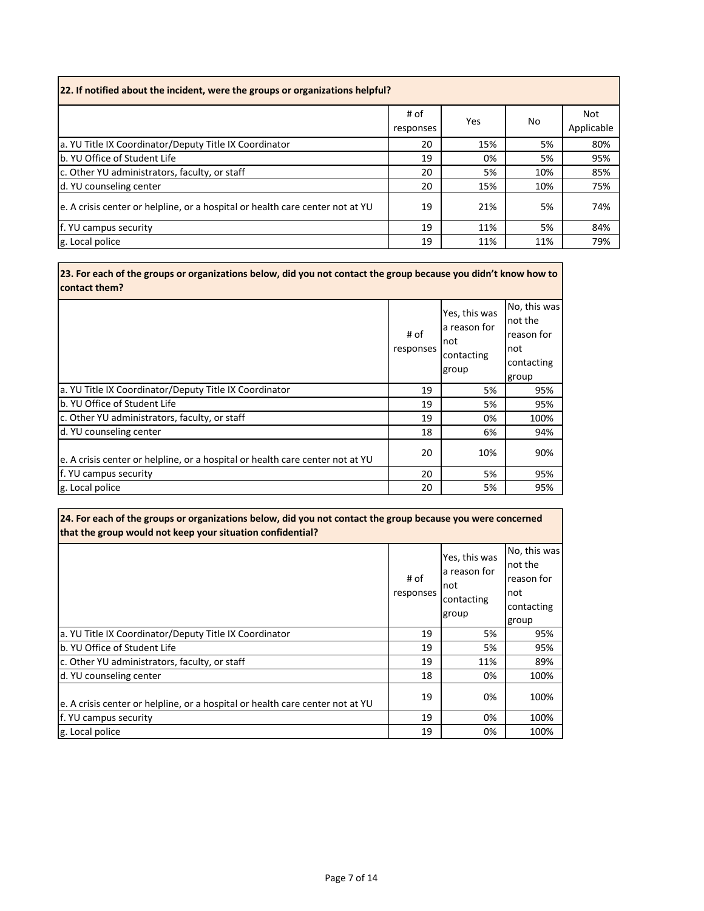| [22. If notified about the incident, were the groups or organizations helpful? |                   |            |     |                          |  |
|--------------------------------------------------------------------------------|-------------------|------------|-----|--------------------------|--|
|                                                                                | # of<br>responses | <b>Yes</b> | No  | <b>Not</b><br>Applicable |  |
| a. YU Title IX Coordinator/Deputy Title IX Coordinator                         | 20                | 15%        | 5%  | 80%                      |  |
| b. YU Office of Student Life                                                   | 19                | 0%         | 5%  | 95%                      |  |
| c. Other YU administrators, faculty, or staff                                  | 20                | 5%         | 10% | 85%                      |  |
| d. YU counseling center                                                        | 20                | 15%        | 10% | 75%                      |  |
| e. A crisis center or helpline, or a hospital or health care center not at YU  | 19                | 21%        | 5%  | 74%                      |  |
| f. YU campus security                                                          | 19                | 11%        | 5%  | 84%                      |  |
| g. Local police                                                                | 19                | 11%        | 11% | 79%                      |  |

**23. For each of the groups or organizations below, did you not contact the group because you didn't know how to contact them?** 

|                                                                               | # of<br>responses | Yes, this was<br>la reason for<br>Inot<br>contacting<br>group | No, this was<br>not the<br>reason for<br>not<br>contacting<br>group |
|-------------------------------------------------------------------------------|-------------------|---------------------------------------------------------------|---------------------------------------------------------------------|
| a. YU Title IX Coordinator/Deputy Title IX Coordinator                        | 19                | 5%                                                            | 95%                                                                 |
| b. YU Office of Student Life                                                  | 19                | 5%                                                            | 95%                                                                 |
| c. Other YU administrators, faculty, or staff                                 | 19                | 0%                                                            | 100%                                                                |
| d. YU counseling center                                                       | 18                | 6%                                                            | 94%                                                                 |
| e. A crisis center or helpline, or a hospital or health care center not at YU | 20                | 10%                                                           | 90%                                                                 |
| f. YU campus security                                                         | 20                | 5%                                                            | 95%                                                                 |
| g. Local police                                                               | 20                | 5%                                                            | 95%                                                                 |

| 24. For each of the groups or organizations below, did you not contact the group because you were concerned<br>that the group would not keep your situation confidential? |                   |                                                             |                                                                     |
|---------------------------------------------------------------------------------------------------------------------------------------------------------------------------|-------------------|-------------------------------------------------------------|---------------------------------------------------------------------|
|                                                                                                                                                                           | # of<br>responses | Yes, this was<br>a reason for<br>not<br>contacting<br>group | No, this was<br>not the<br>reason for<br>not<br>contacting<br>group |
| a. YU Title IX Coordinator/Deputy Title IX Coordinator                                                                                                                    | 19                | 5%                                                          | 95%                                                                 |
| b. YU Office of Student Life                                                                                                                                              | 19                | 5%                                                          | 95%                                                                 |
| c. Other YU administrators, faculty, or staff                                                                                                                             | 19                | 11%                                                         | 89%                                                                 |
| d. YU counseling center                                                                                                                                                   | 18                | 0%                                                          | 100%                                                                |
| e. A crisis center or helpline, or a hospital or health care center not at YU                                                                                             | 19                | 0%                                                          | 100%                                                                |
| f. YU campus security                                                                                                                                                     | 19                | 0%                                                          | 100%                                                                |
| g. Local police                                                                                                                                                           | 19                | 0%                                                          | 100%                                                                |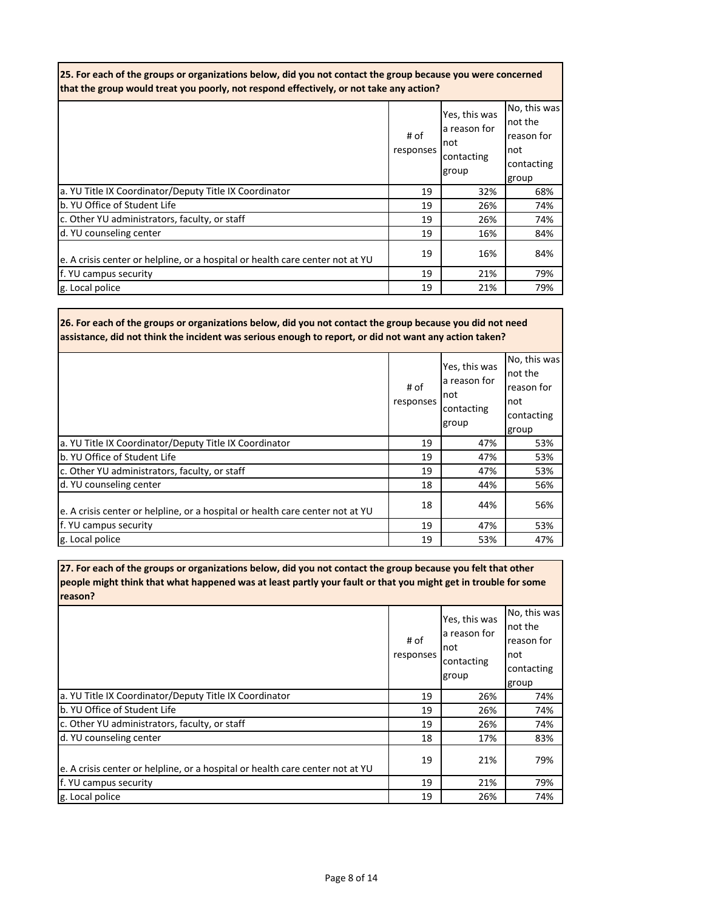| 25. For each of the groups or organizations below, did you not contact the group because you were concerned<br>that the group would treat you poorly, not respond effectively, or not take any action? |                   |                                                              |                                                                      |
|--------------------------------------------------------------------------------------------------------------------------------------------------------------------------------------------------------|-------------------|--------------------------------------------------------------|----------------------------------------------------------------------|
|                                                                                                                                                                                                        | # of<br>responses | Yes, this was<br>a reason for<br>Inot<br>contacting<br>group | No, this was<br>not the<br>reason for<br>Inot<br>contacting<br>group |
| a. YU Title IX Coordinator/Deputy Title IX Coordinator                                                                                                                                                 | 19                | 32%                                                          | 68%                                                                  |
| b. YU Office of Student Life                                                                                                                                                                           | 19                | 26%                                                          | 74%                                                                  |
| c. Other YU administrators, faculty, or staff                                                                                                                                                          | 19                | 26%                                                          | 74%                                                                  |
| d. YU counseling center                                                                                                                                                                                | 19                | 16%                                                          | 84%                                                                  |
| e. A crisis center or helpline, or a hospital or health care center not at YU                                                                                                                          | 19                | 16%                                                          | 84%                                                                  |
| f. YU campus security                                                                                                                                                                                  | 19                | 21%                                                          | 79%                                                                  |
| g. Local police                                                                                                                                                                                        | 19                | 21%                                                          | 79%                                                                  |

**26. For each of the groups or organizations below, did you not contact the group because you did not need assistance, did not think the incident was serious enough to report, or did not want any action taken?** 

|                                                                               | # of<br>responses | Yes, this was<br>a reason for<br>Inot<br>contacting<br>group | No, this was<br>not the<br>reason for<br>not<br>contacting<br>group |
|-------------------------------------------------------------------------------|-------------------|--------------------------------------------------------------|---------------------------------------------------------------------|
| a. YU Title IX Coordinator/Deputy Title IX Coordinator                        | 19                | 47%                                                          | 53%                                                                 |
| b. YU Office of Student Life                                                  | 19                | 47%                                                          | 53%                                                                 |
| c. Other YU administrators, faculty, or staff                                 | 19                | 47%                                                          | 53%                                                                 |
| d. YU counseling center                                                       | 18                | 44%                                                          | 56%                                                                 |
| e. A crisis center or helpline, or a hospital or health care center not at YU | 18                | 44%                                                          | 56%                                                                 |
| f. YU campus security                                                         | 19                | 47%                                                          | 53%                                                                 |
| g. Local police                                                               | 19                | 53%                                                          | 47%                                                                 |

**27. For each of the groups or organizations below, did you not contact the group because you felt that other people might think that what happened was at least partly your fault or that you might get in trouble for some reason?** 

|                                                                               | # of<br>responses | Yes, this was<br>a reason for<br>Inot<br>contacting<br>group | No, this was<br>not the<br>reason for<br>not<br>contacting<br>group |
|-------------------------------------------------------------------------------|-------------------|--------------------------------------------------------------|---------------------------------------------------------------------|
| a. YU Title IX Coordinator/Deputy Title IX Coordinator                        | 19                | 26%                                                          | 74%                                                                 |
| b. YU Office of Student Life                                                  | 19                | 26%                                                          | 74%                                                                 |
| c. Other YU administrators, faculty, or staff                                 | 19                | 26%                                                          | 74%                                                                 |
| d. YU counseling center                                                       | 18                | 17%                                                          | 83%                                                                 |
| e. A crisis center or helpline, or a hospital or health care center not at YU | 19                | 21%                                                          | 79%                                                                 |
| f. YU campus security                                                         | 19                | 21%                                                          | 79%                                                                 |
| g. Local police                                                               | 19                | 26%                                                          | 74%                                                                 |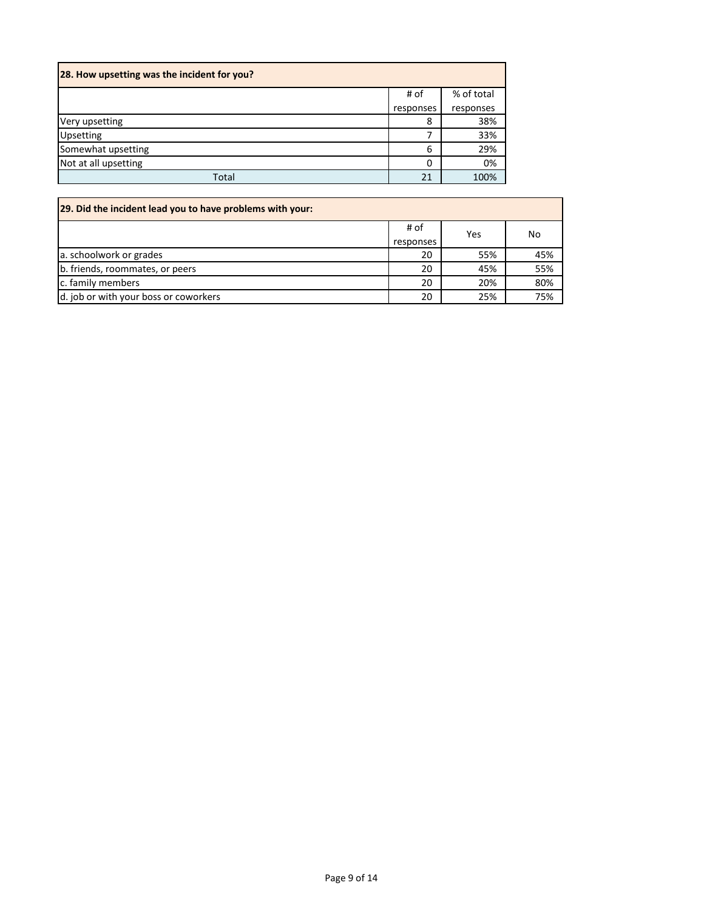| 28. How upsetting was the incident for you? |           |            |  |
|---------------------------------------------|-----------|------------|--|
|                                             | # of      | % of total |  |
|                                             | responses | responses  |  |
| Very upsetting                              | 8         | 38%        |  |
| <b>Upsetting</b>                            |           | 33%        |  |
| Somewhat upsetting                          | 6         | 29%        |  |
| Not at all upsetting                        | 0         | 0%         |  |
| Total                                       | 21        | 100%       |  |

| 29. Did the incident lead you to have problems with your: |                   |     |     |
|-----------------------------------------------------------|-------------------|-----|-----|
|                                                           | # of<br>responses | Yes | No  |
| a. schoolwork or grades                                   | 20                | 55% | 45% |
| b. friends, roommates, or peers                           | 20                | 45% | 55% |
| c. family members                                         | 20                | 20% | 80% |
| d. job or with your boss or coworkers                     | 20                | 25% | 75% |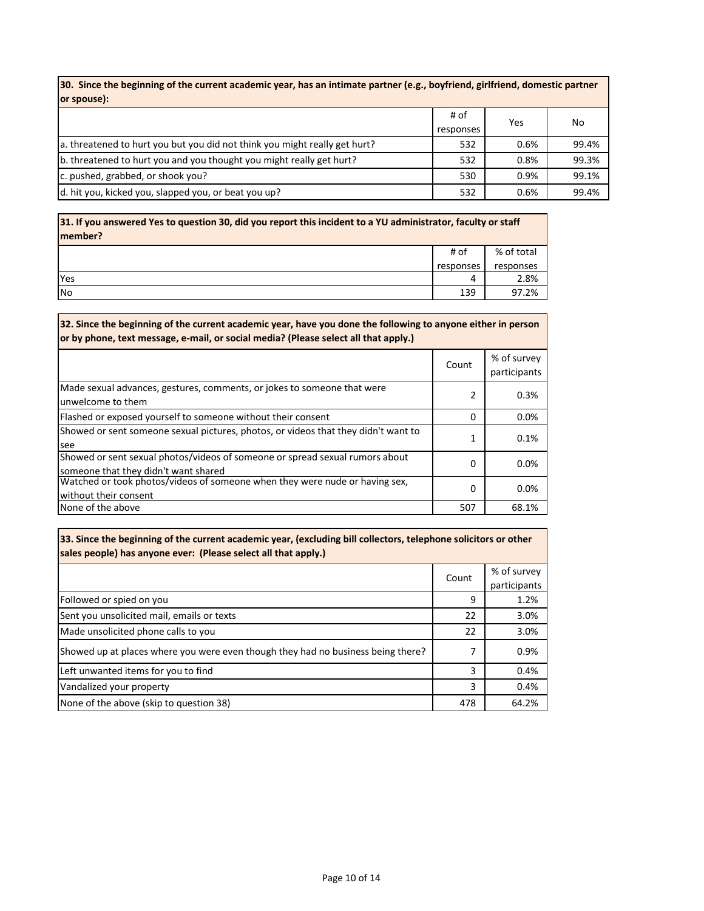**30. Since the beginning of the current academic year, has an intimate partner (e.g., boyfriend, girlfriend, domestic partner or spouse):**

|                                                                            | # of<br>responses | Yes  | No    |
|----------------------------------------------------------------------------|-------------------|------|-------|
| a. threatened to hurt you but you did not think you might really get hurt? | 532               | 0.6% | 99.4% |
| b. threatened to hurt you and you thought you might really get hurt?       | 532               | 0.8% | 99.3% |
| c. pushed, grabbed, or shook you?                                          | 530               | 0.9% | 99.1% |
| d. hit you, kicked you, slapped you, or beat you up?                       | 532               | 0.6% | 99.4% |

**31. If you answered Yes to question 30, did you report this incident to a YU administrator, faculty or staff member?**  $\sqrt{8 \text{ of total}}$ Τ  $\overline{H}$  of

|     | $\pi$ vi  | 70 UI LULAI |
|-----|-----------|-------------|
|     | responses | responses   |
| Yes | -         | 2.8%        |
| No  | 139       | 97.2%<br>97 |

| 32. Since the beginning of the current academic year, have you done the following to anyone either in person<br>or by phone, text message, e-mail, or social media? (Please select all that apply.) |       |                             |
|-----------------------------------------------------------------------------------------------------------------------------------------------------------------------------------------------------|-------|-----------------------------|
|                                                                                                                                                                                                     | Count | % of survey<br>participants |
| Made sexual advances, gestures, comments, or jokes to someone that were<br>unwelcome to them                                                                                                        |       | 0.3%                        |
| Flashed or exposed yourself to someone without their consent                                                                                                                                        | 0     | $0.0\%$                     |
| Showed or sent someone sexual pictures, photos, or videos that they didn't want to<br>see                                                                                                           | 1     | 0.1%                        |
| Showed or sent sexual photos/videos of someone or spread sexual rumors about<br>someone that they didn't want shared                                                                                | 0     | 0.0%                        |
| Watched or took photos/videos of someone when they were nude or having sex,<br>without their consent                                                                                                | 0     | 0.0%                        |
| None of the above                                                                                                                                                                                   | 507   | 68.1%                       |

**33. Since the beginning of the current academic year, (excluding bill collectors, telephone solicitors or other sales people) has anyone ever: (Please select all that apply.)** 

|                                                                                  | Count | % of survey  |
|----------------------------------------------------------------------------------|-------|--------------|
|                                                                                  |       | participants |
| Followed or spied on you                                                         | 9     | 1.2%         |
| Sent you unsolicited mail, emails or texts                                       | 22    | 3.0%         |
| Made unsolicited phone calls to you                                              | 22    | 3.0%         |
| Showed up at places where you were even though they had no business being there? | 7     | 0.9%         |
| Left unwanted items for you to find                                              | 3     | 0.4%         |
| Vandalized your property                                                         | 3     | 0.4%         |
| None of the above (skip to question 38)                                          | 478   | 64.2%        |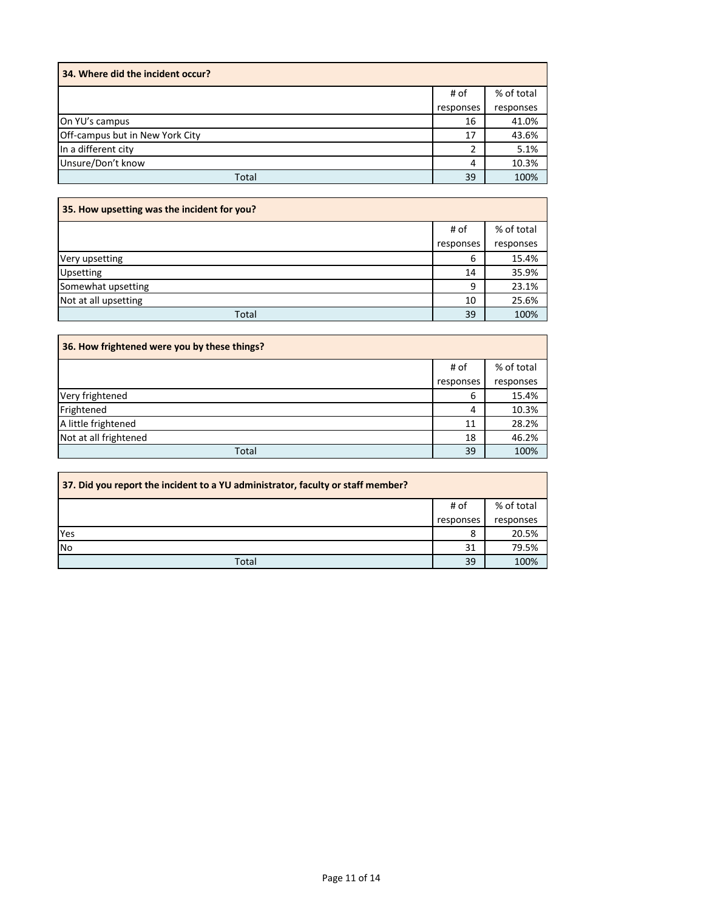| 34. Where did the incident occur? |           |            |
|-----------------------------------|-----------|------------|
|                                   | # of      | % of total |
|                                   | responses | responses  |
| On YU's campus                    | 16        | 41.0%      |
| Off-campus but in New York City   | 17        | 43.6%      |
| In a different city               | າ         | 5.1%       |
| Unsure/Don't know                 | 4         | 10.3%      |
| Total                             | 39        | 100%       |

| 35. How upsetting was the incident for you? |           |            |  |
|---------------------------------------------|-----------|------------|--|
|                                             | # of      | % of total |  |
|                                             | responses | responses  |  |
| Very upsetting                              | 6         | 15.4%      |  |
| Upsetting                                   | 14        | 35.9%      |  |
| Somewhat upsetting                          | 9         | 23.1%      |  |
| Not at all upsetting                        | 10        | 25.6%      |  |
| Total                                       | 39        | 100%       |  |

| 36. How frightened were you by these things? |           |            |  |
|----------------------------------------------|-----------|------------|--|
|                                              | # of      | % of total |  |
|                                              | responses | responses  |  |
| Very frightened                              | 6         | 15.4%      |  |
| Frightened                                   | 4         | 10.3%      |  |
| A little frightened                          | 11        | 28.2%      |  |
| Not at all frightened                        | 18        | 46.2%      |  |
| Total                                        | 39        | 100%       |  |

| 37. Did you report the incident to a YU administrator, faculty or staff member? |           |            |
|---------------------------------------------------------------------------------|-----------|------------|
|                                                                                 | # of      | % of total |
|                                                                                 | responses | responses  |
| Yes                                                                             | 8         | 20.5%      |
| No                                                                              | 31        | 79.5%      |
| Total                                                                           | 39        | 100%       |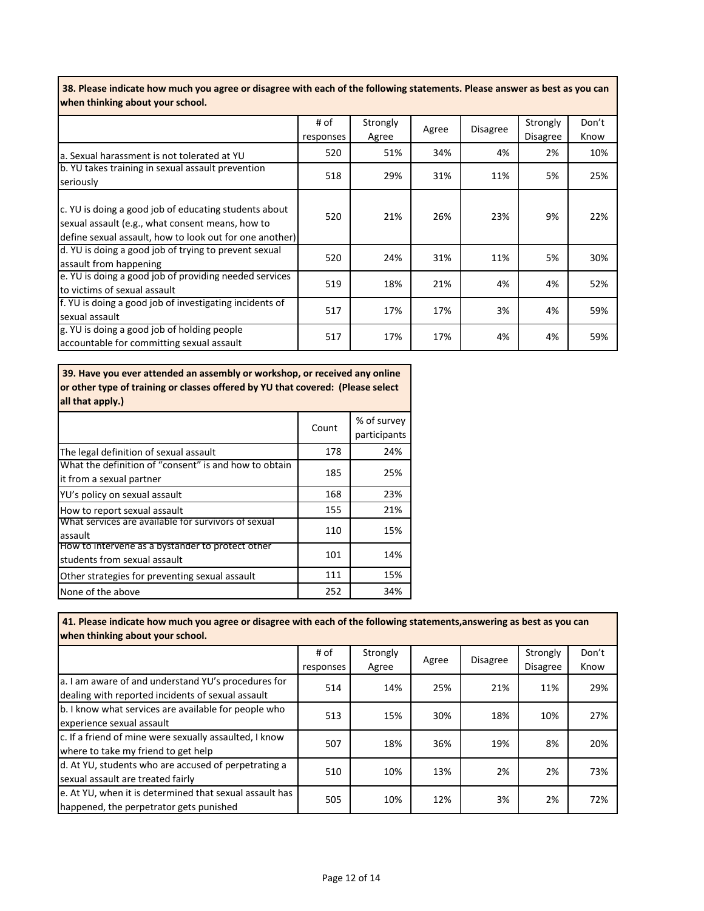**38. Please indicate how much you agree or disagree with each of the following statements. Please answer as best as you can when thinking about your school.**

|                                                                                                                                                                      | # of<br>responses | Strongly<br>Agree | Agree | <b>Disagree</b> | Strongly<br><b>Disagree</b> | Don't<br>Know |
|----------------------------------------------------------------------------------------------------------------------------------------------------------------------|-------------------|-------------------|-------|-----------------|-----------------------------|---------------|
| a. Sexual harassment is not tolerated at YU                                                                                                                          | 520               | 51%               | 34%   | 4%              | 2%                          | 10%           |
| b. YU takes training in sexual assault prevention<br>seriously                                                                                                       | 518               | 29%               | 31%   | 11%             | 5%                          | 25%           |
| c. YU is doing a good job of educating students about<br>sexual assault (e.g., what consent means, how to<br>define sexual assault, how to look out for one another) | 520               | 21%               | 26%   | 23%             | 9%                          | 22%           |
| d. YU is doing a good job of trying to prevent sexual<br>assault from happening                                                                                      | 520               | 24%               | 31%   | 11%             | 5%                          | 30%           |
| e. YU is doing a good job of providing needed services<br>to victims of sexual assault                                                                               | 519               | 18%               | 21%   | 4%              | 4%                          | 52%           |
| f. YU is doing a good job of investigating incidents of<br>sexual assault                                                                                            | 517               | 17%               | 17%   | 3%              | 4%                          | 59%           |
| g. YU is doing a good job of holding people<br>accountable for committing sexual assault                                                                             | 517               | 17%               | 17%   | 4%              | 4%                          | 59%           |

 **39. Have you ever attended an assembly or workshop, or received any online or other type of training or classes offered by YU that covered: (Please select all that apply.)**

|                                                                                   | Count | % of survey<br>participants |
|-----------------------------------------------------------------------------------|-------|-----------------------------|
| The legal definition of sexual assault                                            | 178   | 24%                         |
| What the definition of "consent" is and how to obtain<br>it from a sexual partner | 185   | 25%                         |
| YU's policy on sexual assault                                                     | 168   | 23%                         |
| How to report sexual assault                                                      | 155   | 21%                         |
| What services are available for survivors of sexual<br>assault                    | 110   | 15%                         |
| How to intervene as a bystander to protect other<br>students from sexual assault  | 101   | 14%                         |
| Other strategies for preventing sexual assault                                    | 111   | 15%                         |
| None of the above                                                                 | 252   | 34%                         |

 **41. Please indicate how much you agree or disagree with each of the following statements,answering as best as you can when thinking about your school.** 

|                                                         | # of      | Strongly |       | <b>Disagree</b> | Strongly        | Don't |
|---------------------------------------------------------|-----------|----------|-------|-----------------|-----------------|-------|
|                                                         | responses | Agree    | Agree |                 | <b>Disagree</b> | Know  |
| a. I am aware of and understand YU's procedures for     | 514       |          |       | 21%             | 11%             | 29%   |
| dealing with reported incidents of sexual assault       | 14%       | 25%      |       |                 |                 |       |
| b. I know what services are available for people who    | 513       | 15%      | 30%   | 18%             | 10%             | 27%   |
| experience sexual assault                               |           |          |       |                 |                 |       |
| c. If a friend of mine were sexually assaulted, I know  | 507       | 18%      | 36%   | 19%             | 8%              | 20%   |
| where to take my friend to get help                     |           |          |       |                 |                 |       |
| d. At YU, students who are accused of perpetrating a    | 510       | 10%      | 13%   | 2%              | 2%              | 73%   |
| sexual assault are treated fairly                       |           |          |       |                 |                 |       |
| e. At YU, when it is determined that sexual assault has | 505       | 10%      | 12%   | 3%              | 2%              | 72%   |
| happened, the perpetrator gets punished                 |           |          |       |                 |                 |       |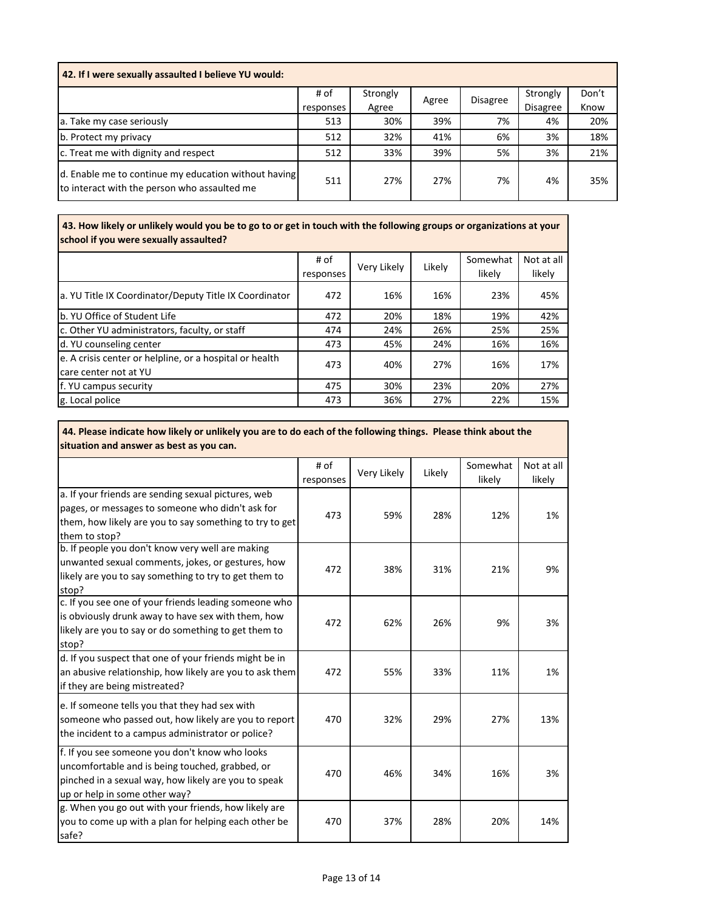| 42. If I were sexually assaulted I believe YU would:                                                 |           |          |       |                 |                 |       |  |
|------------------------------------------------------------------------------------------------------|-----------|----------|-------|-----------------|-----------------|-------|--|
|                                                                                                      | # of      | Strongly | Agree | <b>Disagree</b> | Strongly        | Don't |  |
|                                                                                                      | responses | Agree    |       |                 | <b>Disagree</b> | Know  |  |
| a. Take my case seriously                                                                            | 513       | 30%      | 39%   | 7%              | 4%              | 20%   |  |
| b. Protect my privacy                                                                                | 512       | 32%      | 41%   | 6%              | 3%              | 18%   |  |
| c. Treat me with dignity and respect                                                                 | 512       | 33%      | 39%   | 5%              | 3%              | 21%   |  |
| d. Enable me to continue my education without having<br>to interact with the person who assaulted me | 511       | 27%      | 27%   | 7%              | 4%              | 35%   |  |

 **43. How likely or unlikely would you be to go to or get in touch with the following groups or organizations at your school if you were sexually assaulted?** 

|                                                                                   | # of<br>responses | Very Likely | Likely | Somewhat<br>likely | Not at all<br>likely |
|-----------------------------------------------------------------------------------|-------------------|-------------|--------|--------------------|----------------------|
| a. YU Title IX Coordinator/Deputy Title IX Coordinator                            | 472               | 16%         | 16%    | 23%                | 45%                  |
| b. YU Office of Student Life                                                      | 472               | 20%         | 18%    | 19%                | 42%                  |
| c. Other YU administrators, faculty, or staff                                     | 474               | 24%         | 26%    | 25%                | 25%                  |
| d. YU counseling center                                                           | 473               | 45%         | 24%    | 16%                | 16%                  |
| e. A crisis center or helpline, or a hospital or health<br>Icare center not at YU | 473               | 40%         | 27%    | 16%                | 17%                  |
| f. YU campus security                                                             | 475               | 30%         | 23%    | 20%                | 27%                  |
| g. Local police                                                                   | 473               | 36%         | 27%    | 22%                | 15%                  |

 **44. Please indicate how likely or unlikely you are to do each of the following things. Please think about the situation and answer as best as you can.** 

| situation and answer as best as you can.                |           |             |     |                    |            |
|---------------------------------------------------------|-----------|-------------|-----|--------------------|------------|
|                                                         | # of      | Very Likely |     | Somewhat<br>Likely | Not at all |
|                                                         | responses |             |     | likely             | likely     |
| a. If your friends are sending sexual pictures, web     |           |             |     |                    |            |
| pages, or messages to someone who didn't ask for        | 473       | 59%         | 28% | 12%                | 1%         |
| them, how likely are you to say something to try to get |           |             |     |                    |            |
| them to stop?                                           |           |             |     |                    |            |
| b. If people you don't know very well are making        |           |             |     |                    |            |
| unwanted sexual comments, jokes, or gestures, how       | 472       | 38%         | 31% | 21%                | 9%         |
| likely are you to say something to try to get them to   |           |             |     |                    |            |
| stop?                                                   |           |             |     |                    |            |
| c. If you see one of your friends leading someone who   |           |             |     |                    |            |
| is obviously drunk away to have sex with them, how      | 472       | 62%         | 26% | 9%                 | 3%         |
| likely are you to say or do something to get them to    |           |             |     |                    |            |
| stop?                                                   |           |             |     |                    |            |
| d. If you suspect that one of your friends might be in  |           |             |     |                    |            |
| an abusive relationship, how likely are you to ask them | 472       | 55%         | 33% | 11%                | 1%         |
| if they are being mistreated?                           |           |             |     |                    |            |
| e. If someone tells you that they had sex with          |           |             |     |                    |            |
| someone who passed out, how likely are you to report    | 470       | 32%         | 29% | 27%                | 13%        |
| the incident to a campus administrator or police?       |           |             |     |                    |            |
| f. If you see someone you don't know who looks          |           |             |     |                    |            |
| uncomfortable and is being touched, grabbed, or         |           |             |     |                    |            |
| pinched in a sexual way, how likely are you to speak    | 470       | 46%         | 34% | 16%                | 3%         |
| up or help in some other way?                           |           |             |     |                    |            |
| g. When you go out with your friends, how likely are    |           |             |     |                    |            |
| you to come up with a plan for helping each other be    | 470       | 37%         | 28% | 20%                | 14%        |
| safe?                                                   |           |             |     |                    |            |
|                                                         |           |             |     |                    |            |